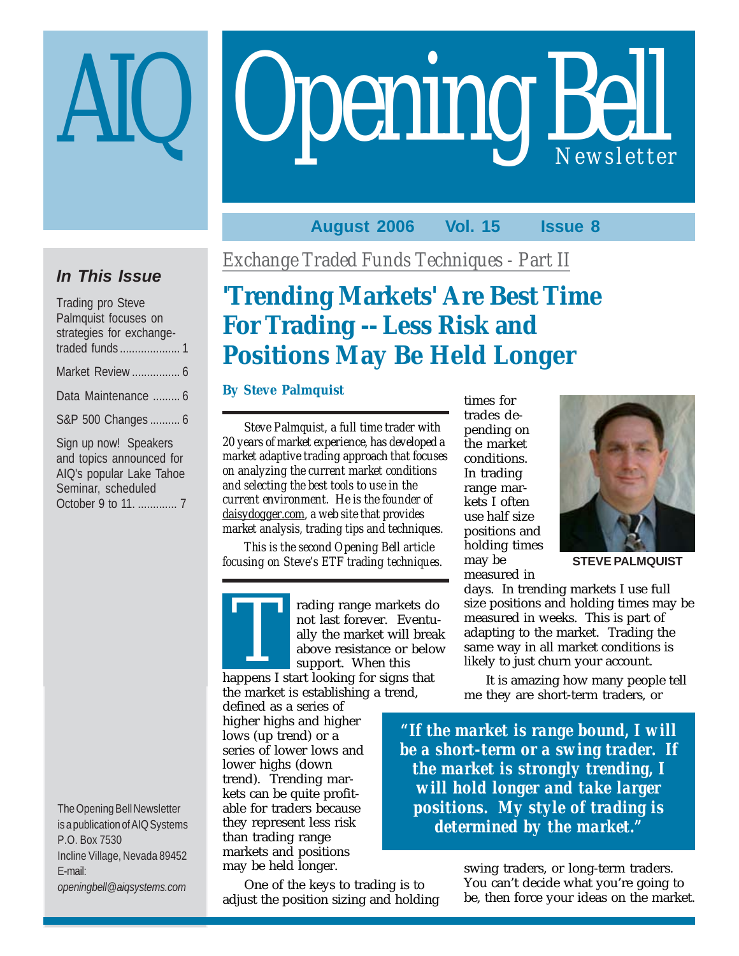# **Opening Bell**

# **August 2006 Vol. 15 Issue 8**

# **In This Issue**

| <b>Trading pro Steve</b> |  |  |  |
|--------------------------|--|--|--|
| Palmquist focuses on     |  |  |  |
| strategies for exchange- |  |  |  |
|                          |  |  |  |
| Market Review  6         |  |  |  |
| Data Maintenance  6      |  |  |  |
| S&P 500 Changes  6       |  |  |  |
| Sign up now! Speakers    |  |  |  |
| and topics announced for |  |  |  |
| AIQ's popular Lake Tahoe |  |  |  |
| Seminar, scheduled       |  |  |  |
| October 9 to 11.  7      |  |  |  |

The Opening Bell Newsletter is a publication of AIQ Systems P.O. Box 7530 Incline Village, Nevada 89452 E-mail: *openingbell@aiqsystems.com*

*Exchange Traded Funds Techniques - Part II*

# **'Trending Markets' Are Best Time For Trading -- Less Risk and Positions May Be Held Longer**

# **By Steve Palmquist**

*Steve Palmquist, a full time trader with 20 years of market experience, has developed a market adaptive trading approach that focuses on analyzing the current market conditions and selecting the best tools to use in the current environment. He is the founder of daisydogger.com, a web site that provides market analysis, trading tips and techniques.*

*This is the second Opening Bell article focusing on Steve's ETF trading techniques.*



rading range markets do not last forever. Eventually the market will break above resistance or below support. When this rading range markets denote above resistance or below above resistance or below apport. When this happens I start looking for signs that

the market is establishing a trend,

defined as a series of higher highs and higher lows (up trend) or a series of lower lows and lower highs (down trend). Trending markets can be quite profitable for traders because they represent less risk than trading range markets and positions may be held longer.

One of the keys to trading is to adjust the position sizing and holding times for trades depending on the market conditions. In trading range markets I often use half size positions and holding times may be measured in



**STEVE PALMQUIST**

days. In trending markets I use full size positions and holding times may be measured in weeks. This is part of adapting to the market. Trading the same way in all market conditions is likely to just churn your account.

It is amazing how many people tell me they are short-term traders, or

*"If the market is range bound, I will be a short-term or a swing trader. If the market is strongly trending, I will hold longer and take larger positions. My style of trading is determined by the market."*

> swing traders, or long-term traders. You can't decide what you're going to be, then force your ideas on the market.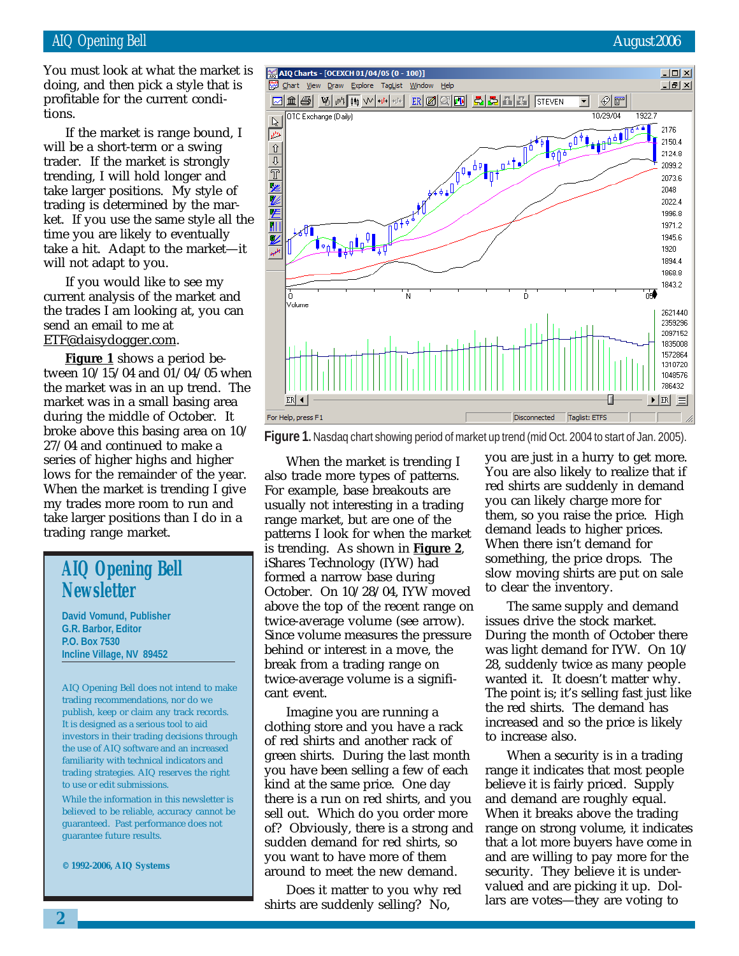March 2002 You must look at what the market is doing, and then pick a style that is profitable for the current conditions.

If the market is range bound, I will be a short-term or a swing trader. If the market is strongly trending, I will hold longer and take larger positions. My style of trading is determined by the market. If you use the same style all the time you are likely to eventually take a hit. Adapt to the market—it will not adapt to you.

If you would like to see my current analysis of the market and the trades I am looking at, you can send an email to me at ETF@daisydogger.com.

**Figure 1** shows a period between 10/15/04 and 01/04/05 when the market was in an up trend. The market was in a small basing area during the middle of October. It broke above this basing area on 10/ 27/04 and continued to make a series of higher highs and higher lows for the remainder of the year. When the market is trending I give my trades more room to run and take larger positions than I do in a trading range market.

# **AIQ Opening Bell Newsletter**

**David Vomund, Publisher G.R. Barbor, Editor P.O. Box 7530 Incline Village, NV 89452**

AIQ Opening Bell does not intend to make trading recommendations, nor do we publish, keep or claim any track records. It is designed as a serious tool to aid investors in their trading decisions through the use of AIQ software and an increased familiarity with technical indicators and trading strategies. AIQ reserves the right to use or edit submissions.

While the information in this newsletter is believed to be reliable, accuracy cannot be guaranteed. Past performance does not guarantee future results.

**© 1992-2006, AIQ Systems**



**Figure 1.** Nasdaq chart showing period of market up trend (mid Oct. 2004 to start of Jan. 2005).

When the market is trending I also trade more types of patterns. For example, base breakouts are usually not interesting in a trading range market, but are one of the patterns I look for when the market is trending. As shown in **Figure 2**, iShares Technology (IYW) had formed a narrow base during October. On 10/28/04, IYW moved above the top of the recent range on twice-average volume (see arrow). Since volume measures the pressure behind or interest in a move, the break from a trading range on twice-average volume is a significant event.

Imagine you are running a clothing store and you have a rack of red shirts and another rack of green shirts. During the last month you have been selling a few of each kind at the same price. One day there is a run on red shirts, and you sell out. Which do you order more of? Obviously, there is a strong and sudden demand for red shirts, so you want to have more of them around to meet the new demand.

Does it matter to you why red shirts are suddenly selling? No,

you are just in a hurry to get more. You are also likely to realize that if red shirts are suddenly in demand you can likely charge more for them, so you raise the price. High demand leads to higher prices. When there isn't demand for something, the price drops. The slow moving shirts are put on sale to clear the inventory.

The same supply and demand issues drive the stock market. During the month of October there was light demand for IYW. On 10/ 28, suddenly twice as many people wanted it. It doesn't matter why. The point is; it's selling fast just like the red shirts. The demand has increased and so the price is likely to increase also.

When a security is in a trading range it indicates that most people believe it is fairly priced. Supply and demand are roughly equal. When it breaks above the trading range on strong volume, it indicates that a lot more buyers have come in and are willing to pay more for the security. They believe it is undervalued and are picking it up. Dollars are votes—they are voting to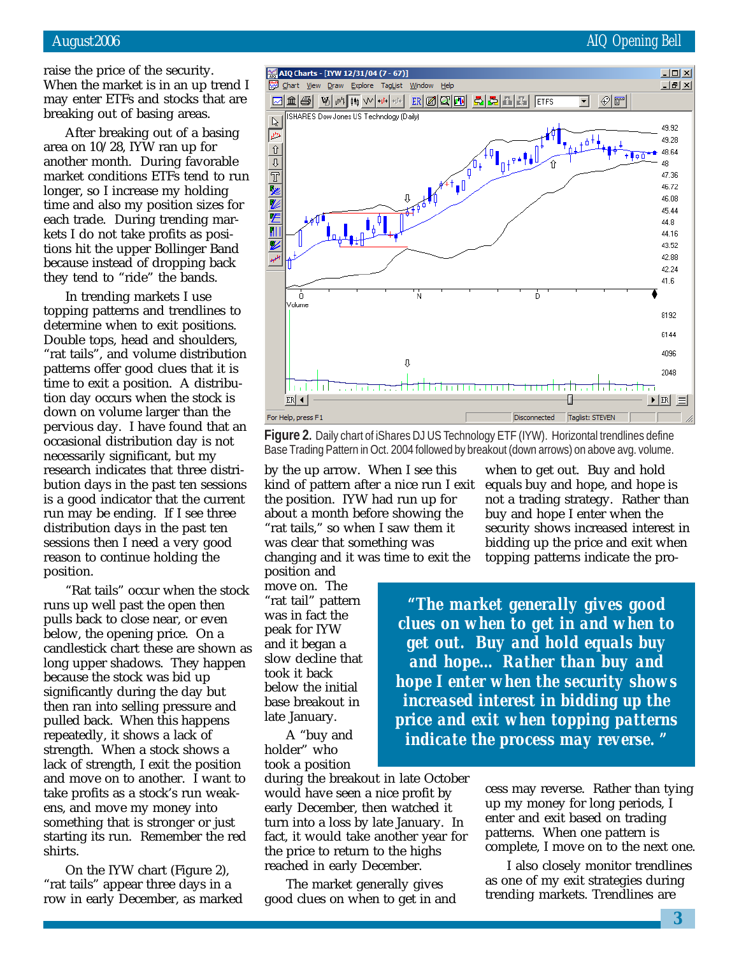raise the price of the security. When the market is in an up trend I may enter ETFs and stocks that are breaking out of basing areas.

After breaking out of a basing area on 10/28, IYW ran up for another month. During favorable market conditions ETFs tend to run longer, so I increase my holding time and also my position sizes for each trade. During trending markets I do not take profits as positions hit the upper Bollinger Band because instead of dropping back they tend to "ride" the bands.

In trending markets I use topping patterns and trendlines to determine when to exit positions. Double tops, head and shoulders, "rat tails", and volume distribution patterns offer good clues that it is time to exit a position. A distribution day occurs when the stock is down on volume larger than the pervious day. I have found that an occasional distribution day is not necessarily significant, but my research indicates that three distribution days in the past ten sessions is a good indicator that the current run may be ending. If I see three distribution days in the past ten sessions then I need a very good reason to continue holding the position.

"Rat tails" occur when the stock runs up well past the open then pulls back to close near, or even below, the opening price. On a candlestick chart these are shown as long upper shadows. They happen because the stock was bid up significantly during the day but then ran into selling pressure and pulled back. When this happens repeatedly, it shows a lack of strength. When a stock shows a lack of strength, I exit the position and move on to another. I want to take profits as a stock's run weakens, and move my money into something that is stronger or just starting its run. Remember the red shirts.

On the IYW chart (Figure 2), "rat tails" appear three days in a row in early December, as marked

August 2006 AIQ Opening Bell



**Figure 2.** Daily chart of iShares DJ US Technology ETF (IYW). Horizontal trendlines define Base Trading Pattern in Oct. 2004 followed by breakout (down arrows) on above avg. volume.

by the up arrow. When I see this kind of pattern after a nice run I exit the position. IYW had run up for about a month before showing the "rat tails," so when I saw them it was clear that something was changing and it was time to exit the position and

move on. The "rat tail" pattern was in fact the peak for IYW and it began a slow decline that took it back below the initial base breakout in late January.

A "buy and holder" who took a position

during the breakout in late October would have seen a nice profit by early December, then watched it turn into a loss by late January. In fact, it would take another year for the price to return to the highs reached in early December.

The market generally gives good clues on when to get in and

when to get out. Buy and hold equals buy and hope, and hope is not a trading strategy. Rather than buy and hope I enter when the security shows increased interest in bidding up the price and exit when topping patterns indicate the pro-

*"The market generally gives good clues on when to get in and when to get out. Buy and hold equals buy and hope… Rather than buy and hope I enter when the security shows increased interest in bidding up the price and exit when topping patterns indicate the process may reverse. "*

> cess may reverse. Rather than tying up my money for long periods, I enter and exit based on trading patterns. When one pattern is complete, I move on to the next one.

> I also closely monitor trendlines as one of my exit strategies during trending markets. Trendlines are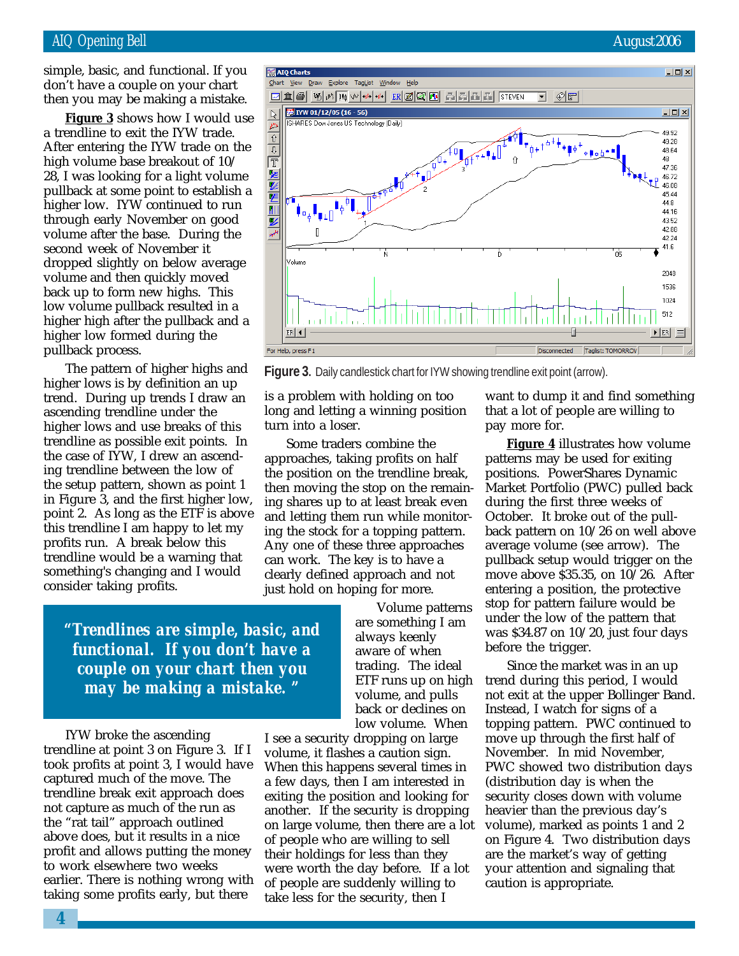## AIQ Opening Bell August 2006

simple, basic, and functional. If you don't have a couple on your chart then you may be making a mistake.

**Figure 3** shows how I would use a trendline to exit the IYW trade. After entering the IYW trade on the high volume base breakout of 10/ 28, I was looking for a light volume pullback at some point to establish a higher low. IYW continued to run through early November on good volume after the base. During the second week of November it dropped slightly on below average volume and then quickly moved back up to form new highs. This low volume pullback resulted in a higher high after the pullback and a higher low formed during the pullback process.

The pattern of higher highs and higher lows is by definition an up trend. During up trends I draw an ascending trendline under the higher lows and use breaks of this trendline as possible exit points. In the case of IYW, I drew an ascending trendline between the low of the setup pattern, shown as point 1 in Figure 3, and the first higher low, point 2. As long as the ETF is above this trendline I am happy to let my profits run. A break below this trendline would be a warning that something's changing and I would consider taking profits.

> *"Trendlines are simple, basic, and functional. If you don't have a couple on your chart then you may be making a mistake. "*

IYW broke the ascending trendline at point 3 on Figure 3. If I took profits at point 3, I would have captured much of the move. The trendline break exit approach does not capture as much of the run as the "rat tail" approach outlined above does, but it results in a nice profit and allows putting the money to work elsewhere two weeks earlier. There is nothing wrong with taking some profits early, but there

I see a security dropping on large volume, it flashes a caution sign. When this happens several times in a few days, then I am interested in exiting the position and looking for another. If the security is dropping on large volume, then there are a lot of people who are willing to sell their holdings for less than they were worth the day before. If a lot of people are suddenly willing to take less for the security, then I

want to dump it and find something that a lot of people are willing to pay more for.

**Figure 4** illustrates how volume patterns may be used for exiting positions. PowerShares Dynamic Market Portfolio (PWC) pulled back during the first three weeks of October. It broke out of the pullback pattern on 10/26 on well above average volume (see arrow). The pullback setup would trigger on the move above \$35.35, on 10/26. After entering a position, the protective stop for pattern failure would be under the low of the pattern that was \$34.87 on 10/20, just four days before the trigger.

Since the market was in an up trend during this period, I would not exit at the upper Bollinger Band. Instead, I watch for signs of a topping pattern. PWC continued to move up through the first half of November. In mid November, PWC showed two distribution days (distribution day is when the security closes down with volume heavier than the previous day's volume), marked as points 1 and 2 on Figure 4. Two distribution days are the market's way of getting your attention and signaling that caution is appropriate.



**Figure 3.** Daily candlestick chart for IYW showing trendline exit point (arrow).

Volume patterns

low volume. When

is a problem with holding on too long and letting a winning position

Some traders combine the approaches, taking profits on half the position on the trendline break, then moving the stop on the remaining shares up to at least break even and letting them run while monitoring the stock for a topping pattern. Any one of these three approaches can work. The key is to have a clearly defined approach and not just hold on hoping for more.

turn into a loser.

are something I am always keenly aware of when trading. The ideal ETF runs up on high volume, and pulls back or declines on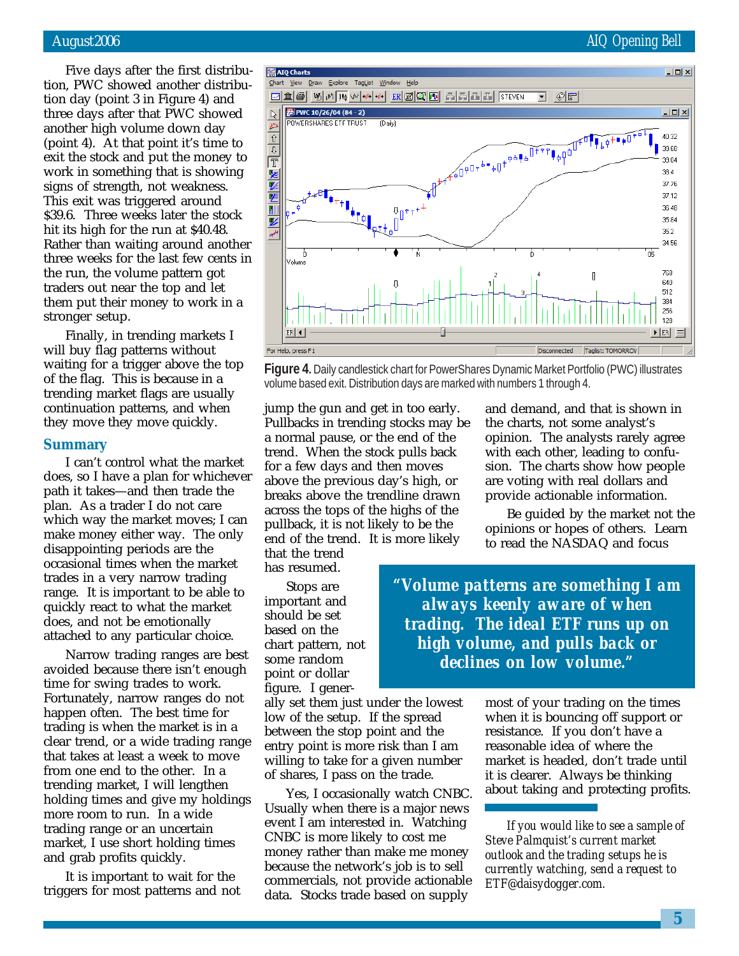Five days after the first distribution, PWC showed another distribution day (point 3 in Figure 4) and three days after that PWC showed another high volume down day (point 4). At that point it's time to exit the stock and put the money to work in something that is showing signs of strength, not weakness. This exit was triggered around \$39.6. Three weeks later the stock hit its high for the run at \$40.48. Rather than waiting around another three weeks for the last few cents in the run, the volume pattern got traders out near the top and let them put their money to work in a stronger setup.

Finally, in trending markets I will buy flag patterns without waiting for a trigger above the top of the flag. This is because in a trending market flags are usually continuation patterns, and when they move they move quickly.

#### **Summary**

I can't control what the market does, so I have a plan for whichever path it takes—and then trade the plan. As a trader I do not care which way the market moves; I can make money either way. The only disappointing periods are the occasional times when the market trades in a very narrow trading range. It is important to be able to quickly react to what the market does, and not be emotionally attached to any particular choice.

Narrow trading ranges are best avoided because there isn't enough time for swing trades to work. Fortunately, narrow ranges do not happen often. The best time for trading is when the market is in a clear trend, or a wide trading range that takes at least a week to move from one end to the other. In a trending market, I will lengthen holding times and give my holdings more room to run. In a wide trading range or an uncertain market, I use short holding times and grab profits quickly.

It is important to wait for the triggers for most patterns and not



**Figure 4.** Daily candlestick chart for PowerShares Dynamic Market Portfolio (PWC) illustrates volume based exit. Distribution days are marked with numbers 1 through 4.

jump the gun and get in too early. Pullbacks in trending stocks may be a normal pause, or the end of the trend. When the stock pulls back for a few days and then moves above the previous day's high, or breaks above the trendline drawn across the tops of the highs of the pullback, it is not likely to be the end of the trend. It is more likely that the trend

has resumed.

Stops are important and should be set based on the chart pattern, not some random point or dollar figure. I gener-

ally set them just under the lowest low of the setup. If the spread between the stop point and the entry point is more risk than I am willing to take for a given number of shares, I pass on the trade.

Yes, I occasionally watch CNBC. Usually when there is a major news event I am interested in. Watching CNBC is more likely to cost me money rather than make me money because the network's job is to sell commercials, not provide actionable data. Stocks trade based on supply

and demand, and that is shown in the charts, not some analyst's opinion. The analysts rarely agree with each other, leading to confusion. The charts show how people are voting with real dollars and provide actionable information.

Be guided by the market not the opinions or hopes of others. Learn to read the NASDAQ and focus

*"Volume patterns are something I am always keenly aware of when trading. The ideal ETF runs up on high volume, and pulls back or declines on low volume."*

> most of your trading on the times when it is bouncing off support or resistance. If you don't have a reasonable idea of where the market is headed, don't trade until it is clearer. Always be thinking about taking and protecting profits.

*If you would like to see a sample of Steve Palmquist's current market outlook and the trading setups he is currently watching, send a request to ETF@daisydogger.com.*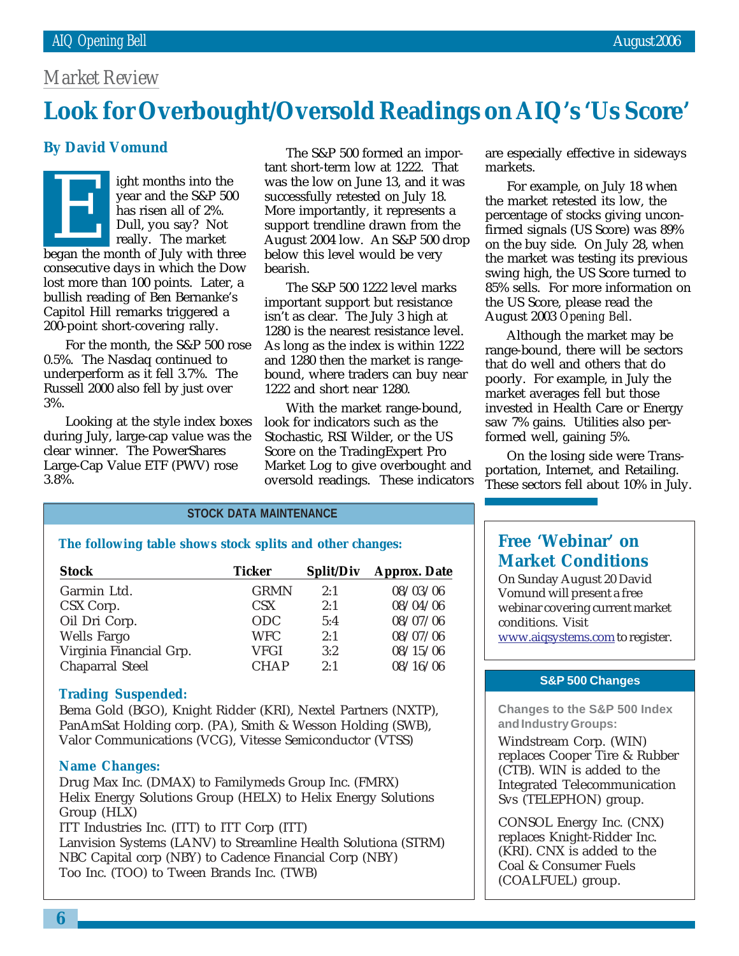# *Market Review*

# March 2002 **Look for Overbought/Oversold Readings on AIQ's 'Us Score'**

# **By David Vomund**

ight months into the year and the S&P 500 has risen all of 2%. Dull, you say? Not really. The market Fight months into the<br>year and the S&P 500<br>has risen all of 2%.<br>Dull, you say? Not<br>really. The market<br>began the month of July with three consecutive days in which the Dow lost more than 100 points. Later, a bullish reading of Ben Bernanke's Capitol Hill remarks triggered a 200-point short-covering rally.

For the month, the S&P 500 rose 0.5%. The Nasdaq continued to underperform as it fell 3.7%. The Russell 2000 also fell by just over 3%.

Looking at the style index boxes during July, large-cap value was the clear winner. The PowerShares Large-Cap Value ETF (PWV) rose 3.8%.

The S&P 500 formed an important short-term low at 1222. That was the low on June 13, and it was successfully retested on July 18. More importantly, it represents a support trendline drawn from the August 2004 low. An S&P 500 drop below this level would be very bearish.

The S&P 500 1222 level marks important support but resistance isn't as clear. The July 3 high at 1280 is the nearest resistance level. As long as the index is within 1222 and 1280 then the market is rangebound, where traders can buy near 1222 and short near 1280.

With the market range-bound, look for indicators such as the Stochastic, RSI Wilder, or the US Score on the TradingExpert Pro Market Log to give overbought and oversold readings. These indicators are especially effective in sideways markets.

For example, on July 18 when the market retested its low, the percentage of stocks giving unconfirmed signals (US Score) was 89% on the buy side. On July 28, when the market was testing its previous swing high, the US Score turned to 85% sells. For more information on the US Score, please read the August 2003 *Opening Bell*.

Although the market may be range-bound, there will be sectors that do well and others that do poorly. For example, in July the market averages fell but those invested in Health Care or Energy saw 7% gains. Utilities also performed well, gaining 5%.

On the losing side were Transportation, Internet, and Retailing. These sectors fell about 10% in July.

## **STOCK DATA MAINTENANCE**

**The following table shows stock splits and other changes:**

| <b>Stock</b>            | Ticker      | Split/Div | <b>Approx. Date</b> |
|-------------------------|-------------|-----------|---------------------|
| Garmin Ltd.             | <b>GRMN</b> | 2:1       | 08/03/06            |
| CSX Corp.               | <b>CSX</b>  | 2:1       | 08/04/06            |
| Oil Dri Corp.           | <b>ODC</b>  | 5:4       | 08/07/06            |
| <b>Wells Fargo</b>      | <b>WFC</b>  | 2:1       | 08/07/06            |
| Virginia Financial Grp. | <b>VFGI</b> | 3:2       | 08/15/06            |
| <b>Chaparral Steel</b>  | <b>CHAP</b> | 2:1       | 08/16/06            |

#### **Trading Suspended:**

Bema Gold (BGO), Knight Ridder (KRI), Nextel Partners (NXTP), PanAmSat Holding corp. (PA), Smith & Wesson Holding (SWB), Valor Communications (VCG), Vitesse Semiconductor (VTSS)

#### **Name Changes:**

Drug Max Inc. (DMAX) to Familymeds Group Inc. (FMRX) Helix Energy Solutions Group (HELX) to Helix Energy Solutions Group (HLX) ITT Industries Inc. (ITT) to ITT Corp (ITT)

Lanvision Systems (LANV) to Streamline Health Solutiona (STRM) NBC Capital corp (NBY) to Cadence Financial Corp (NBY) Too Inc. (TOO) to Tween Brands Inc. (TWB)

# **Free 'Webinar' on Market Conditions**

On Sunday August 20 David Vomund will present a free webinar covering current market conditions. Visit www.aiqsystems.com to register.

#### **S&P 500 Changes**

**Changes to the S&P 500 Index and Industry Groups:**

Windstream Corp. (WIN) replaces Cooper Tire & Rubber (CTB). WIN is added to the Integrated Telecommunication Svs (TELEPHON) group.

CONSOL Energy Inc. (CNX) replaces Knight-Ridder Inc. (KRI). CNX is added to the Coal & Consumer Fuels (COALFUEL) group.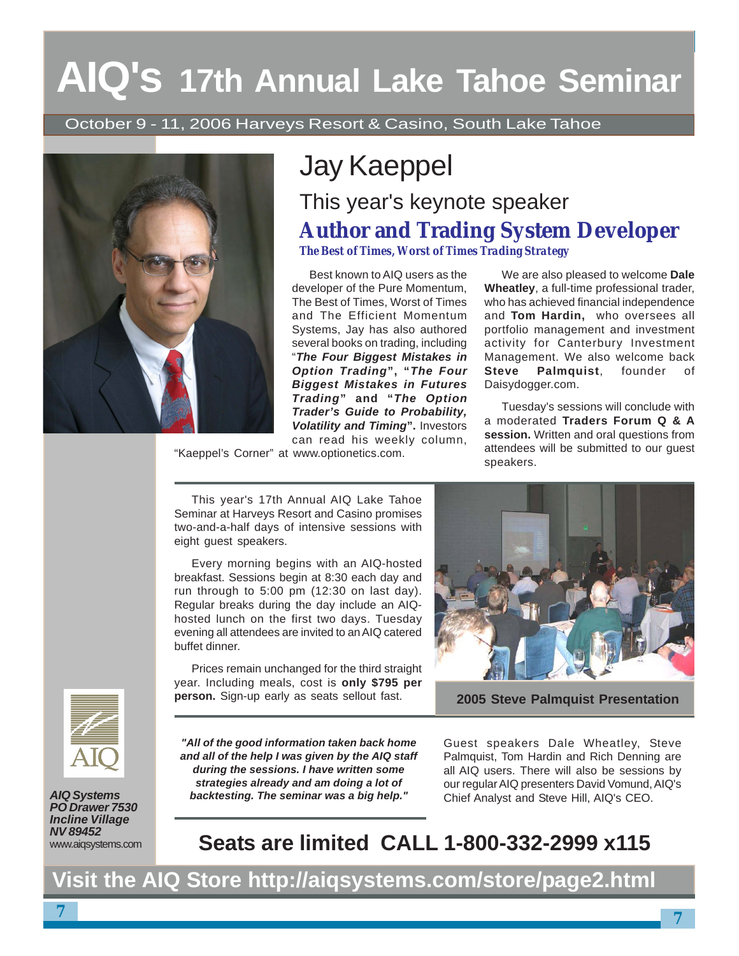# **AIQ's 17th Annual Lake Tahoe Seminar**

October 9 - 11, 2006 Harveys Resort & Casino, South Lake Tahoe



# Jay Kaeppel

# This year's keynote speaker **Author and Trading System Developer**

*The Best of Times, Worst of Times Trading Strategy*

Best known to AIQ users as the developer of the Pure Momentum, The Best of Times, Worst of Times and The Efficient Momentum Systems, Jay has also authored several books on trading, including "**The Four Biggest Mistakes in Option Trading", "The Four Biggest Mistakes in Futures Trading" and "The Option Trader's Guide to Probability, Volatility and Timing".** Investors can read his weekly column,

"Kaeppel's Corner" at www.optionetics.com.

We are also pleased to welcome **Dale Wheatley**, a full-time professional trader, who has achieved financial independence and **Tom Hardin,** who oversees all portfolio management and investment activity for Canterbury Investment Management. We also welcome back **Steve Palmquist**, founder of Daisydogger.com.

Tuesday's sessions will conclude with a moderated **Traders Forum Q & A session.** Written and oral questions from attendees will be submitted to our guest speakers.

This year's 17th Annual AIQ Lake Tahoe Seminar at Harveys Resort and Casino promises two-and-a-half days of intensive sessions with eight guest speakers.

Every morning begins with an AIQ-hosted breakfast. Sessions begin at 8:30 each day and run through to 5:00 pm (12:30 on last day). Regular breaks during the day include an AIQhosted lunch on the first two days. Tuesday evening all attendees are invited to an AIQ catered buffet dinner.

Prices remain unchanged for the third straight year. Including meals, cost is **only \$795 per person.** Sign-up early as seats sellout fast.



**AIQ Systems PO Drawer 7530 Incline Village NV 89452** www.aiqsystems.com

**"All of the good information taken back home and all of the help I was given by the AIQ staff during the sessions. I have written some strategies already and am doing a lot of backtesting. The seminar was a big help."**



**2005 Steve Palmquist Presentation**

Guest speakers Dale Wheatley, Steve Palmquist, Tom Hardin and Rich Denning are all AIQ users. There will also be sessions by our regular AIQ presenters David Vomund, AIQ's Chief Analyst and Steve Hill, AIQ's CEO.

# **Seats are limited CALL 1-800-332-2999 x115**

**Visit the AIQ Store http://aiqsystems.com/store/page2.html**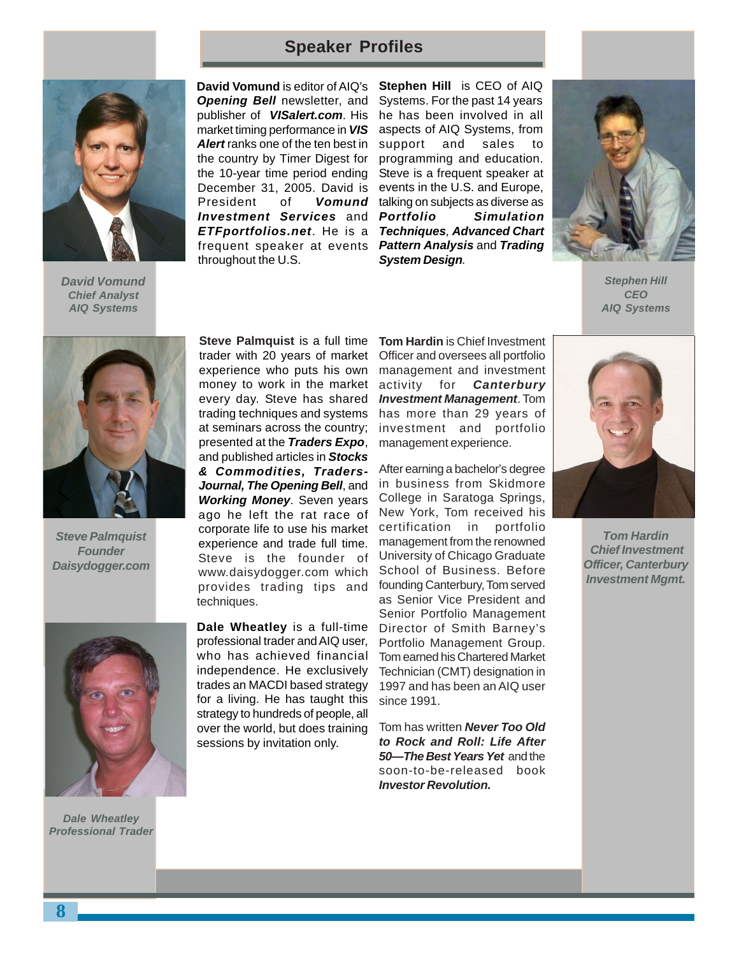# **Speaker Profiles**



**David Vomund Chief Analyst AIQ Systems**

President of **Vomund** talking on subjects as diverse as **ETFportfolios.net.** He is a Techniques, Advanced Chart frequent speaker at events Pattern Analysis and Trading **David Vomund** is editor of AIQ's **Opening Bell** newsletter, and publisher of **VISalert.com**. His market timing performance in **VIS Alert** ranks one of the ten best in the country by Timer Digest for the 10-year time period ending December 31, 2005. David is **Investment Services** and throughout the U.S.

**Stephen Hill** is CEO of AIQ Systems. For the past 14 years he has been involved in all aspects of AIQ Systems, from support and sales to programming and education. Steve is a frequent speaker at events in the U.S. and Europe, **Simulation System Design**.



**Stephen Hill CEO AIQ Systems**



**Steve Palmquist Founder Daisydogger.com**



**Dale Wheatley Professional Trader**

**Steve Palmquist** is a full time trader with 20 years of market experience who puts his own money to work in the market every day. Steve has shared trading techniques and systems at seminars across the country; presented at the **Traders Expo**, and published articles in **Stocks & Commodities, Traders-Journal, The Opening Bell**, and **Working Money**. Seven years ago he left the rat race of corporate life to use his market experience and trade full time. Steve is the founder of www.daisydogger.com which provides trading tips and techniques.

**Dale Wheatley** is a full-time professional trader and AIQ user, who has achieved financial independence. He exclusively trades an MACDI based strategy for a living. He has taught this strategy to hundreds of people, all over the world, but does training sessions by invitation only.

**Tom Hardin** is Chief Investment Officer and oversees all portfolio management and investment activity for **Canterbury Investment Management**. Tom has more than 29 years of investment and portfolio management experience.

After earning a bachelor's degree in business from Skidmore College in Saratoga Springs, New York, Tom received his certification in portfolio management from the renowned University of Chicago Graduate School of Business. Before founding Canterbury, Tom served as Senior Vice President and Senior Portfolio Management Director of Smith Barney's Portfolio Management Group. Tom earned his Chartered Market Technician (CMT) designation in 1997 and has been an AIQ user since 1991.

Tom has written **Never Too Old to Rock and Roll: Life After 50—The Best Years Yet** and the soon-to-be-released book **Investor Revolution.**



**Tom Hardin Chief Investment Officer, Canterbury Investment Mgmt.**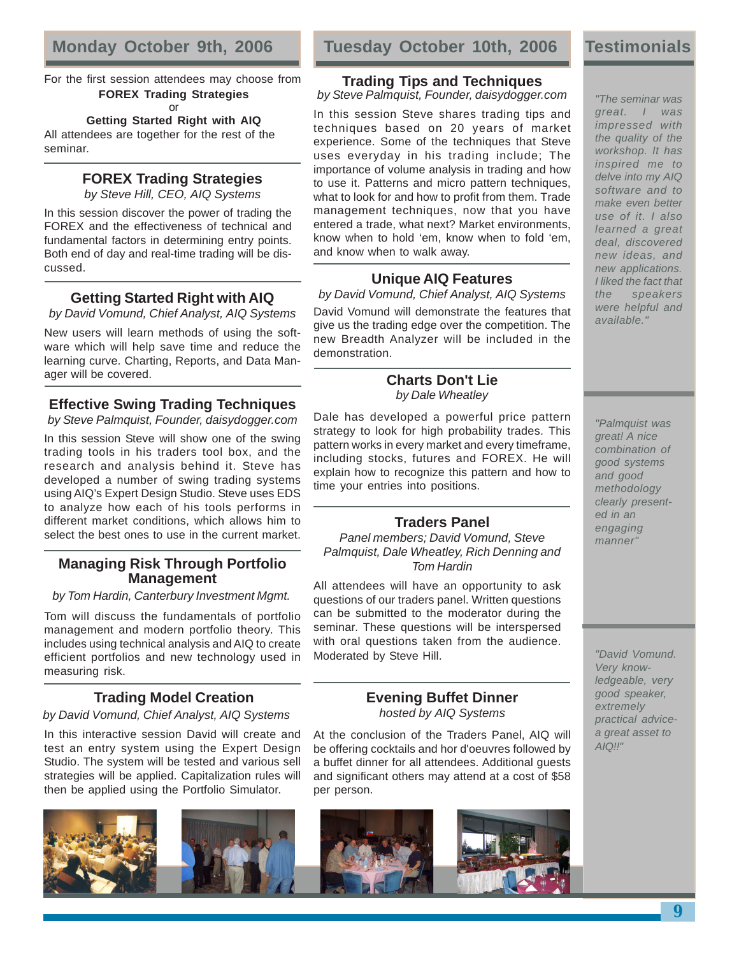For the first session attendees may choose from **FOREX Trading Strategies** or

**Getting Started Right with AIQ**

All attendees are together for the rest of the seminar.

# **FOREX Trading Strategies**

by Steve Hill, CEO, AIQ Systems

In this session discover the power of trading the FOREX and the effectiveness of technical and fundamental factors in determining entry points. Both end of day and real-time trading will be discussed.

# **Getting Started Right with AIQ**

by David Vomund, Chief Analyst, AIQ Systems

New users will learn methods of using the software which will help save time and reduce the learning curve. Charting, Reports, and Data Manager will be covered.

# **Effective Swing Trading Techniques**

by Steve Palmquist, Founder, daisydogger.com

In this session Steve will show one of the swing trading tools in his traders tool box, and the research and analysis behind it. Steve has developed a number of swing trading systems using AIQ's Expert Design Studio. Steve uses EDS to analyze how each of his tools performs in different market conditions, which allows him to select the best ones to use in the current market.

# **Managing Risk Through Portfolio Management**

by Tom Hardin, Canterbury Investment Mgmt.

Tom will discuss the fundamentals of portfolio management and modern portfolio theory. This includes using technical analysis and AIQ to create efficient portfolios and new technology used in measuring risk.

# **Trading Model Creation**

by David Vomund, Chief Analyst, AIQ Systems

In this interactive session David will create and test an entry system using the Expert Design Studio. The system will be tested and various sell strategies will be applied. Capitalization rules will then be applied using the Portfolio Simulator.









At the conclusion of the Traders Panel, AIQ will be offering cocktails and hor d'oeuvres followed by a buffet dinner for all attendees. Additional guests and significant others may attend at a cost of \$58 per person.



# **Testimonials**

"The seminar was

# **Trading Tips and Techniques**

by Steve Palmquist, Founder, daisydogger.com

In this session Steve shares trading tips and techniques based on 20 years of market experience. Some of the techniques that Steve uses everyday in his trading include; The importance of volume analysis in trading and how to use it. Patterns and micro pattern techniques, what to look for and how to profit from them. Trade management techniques, now that you have entered a trade, what next? Market environments, know when to hold 'em, know when to fold 'em, and know when to walk away.

# **Unique AIQ Features**

by David Vomund, Chief Analyst, AIQ Systems David Vomund will demonstrate the features that give us the trading edge over the competition. The new Breadth Analyzer will be included in the demonstration.

## **Charts Don't Lie** by Dale Wheatley

Dale has developed a powerful price pattern strategy to look for high probability trades. This pattern works in every market and every timeframe, including stocks, futures and FOREX. He will explain how to recognize this pattern and how to time your entries into positions.

# **Traders Panel**

Panel members; David Vomund, Steve Palmquist, Dale Wheatley, Rich Denning and Tom Hardin

All attendees will have an opportunity to ask questions of our traders panel. Written questions can be submitted to the moderator during the seminar. These questions will be interspersed with oral questions taken from the audience. Moderated by Steve Hill.

> Very knowledgeable, very good speaker, extremely practical advicea great asset to  $AIO!!''$

"David Vomund.

great. I was impressed with the quality of the workshop. It has inspired me to delve into my AIQ software and to make even better use of it. I also learned a great deal, discovered new ideas, and new applications. I liked the fact that the speakers were helpful and available."

"Palmquist was great! A nice combination of good systems and good methodology clearly presented in an engaging manner"